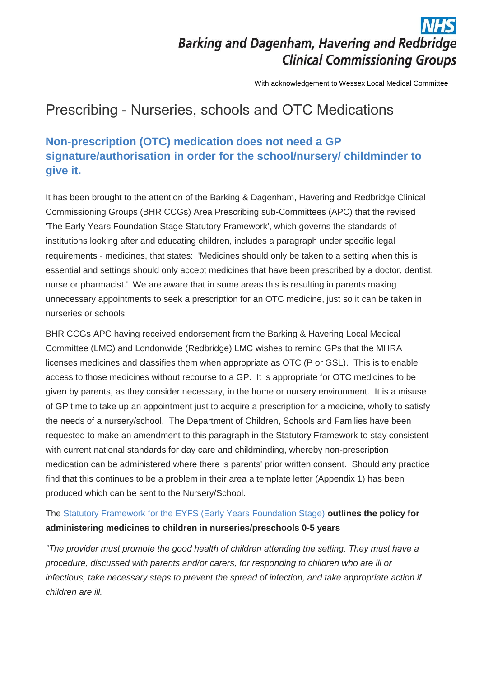# **Barking and Dagenham, Havering and Redbridge Clinical Commissioning Groups**

With acknowledgement to Wessex Local Medical Committee

## Prescribing - Nurseries, schools and OTC Medications

## **Non-prescription (OTC) medication does not need a GP signature/authorisation in order for the school/nursery/ childminder to give it.**

It has been brought to the attention of the Barking & Dagenham, Havering and Redbridge Clinical Commissioning Groups (BHR CCGs) Area Prescribing sub-Committees (APC) that the revised 'The Early Years Foundation Stage Statutory Framework', which governs the standards of institutions looking after and educating children, includes a paragraph under specific legal requirements - medicines, that states: 'Medicines should only be taken to a setting when this is essential and settings should only accept medicines that have been prescribed by a doctor, dentist, nurse or pharmacist.' We are aware that in some areas this is resulting in parents making unnecessary appointments to seek a prescription for an OTC medicine, just so it can be taken in nurseries or schools.

BHR CCGs APC having received endorsement from the Barking & Havering Local Medical Committee (LMC) and Londonwide (Redbridge) LMC wishes to remind GPs that the MHRA licenses medicines and classifies them when appropriate as OTC (P or GSL). This is to enable access to those medicines without recourse to a GP. It is appropriate for OTC medicines to be given by parents, as they consider necessary, in the home or nursery environment. It is a misuse of GP time to take up an appointment just to acquire a prescription for a medicine, wholly to satisfy the needs of a nursery/school. The Department of Children, Schools and Families have been requested to make an amendment to this paragraph in the Statutory Framework to stay consistent with current national standards for day care and childminding, whereby non-prescription medication can be administered where there is parents' prior written consent. Should any practice find that this continues to be a problem in their area a template letter (Appendix 1) has been produced which can be sent to the Nursery/School.

### The [Statutory Framework for the EYFS \(Early Years Foundation Stage\)](https://www.gov.uk/government/uploads/system/uploads/attachment_data/file/335504/EYFS_framework_from_1_September_2014__with_clarification_note.pdf) **outlines the policy for administering medicines to children in nurseries/preschools 0-5 years**

*"The provider must promote the good health of children attending the setting. They must have a procedure, discussed with parents and/or carers, for responding to children who are ill or infectious, take necessary steps to prevent the spread of infection, and take appropriate action if children are ill.*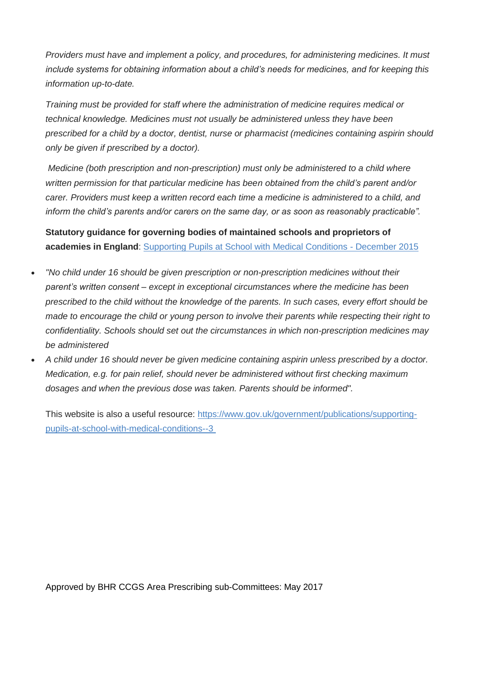*Providers must have and implement a policy, and procedures, for administering medicines. It must include systems for obtaining information about a child's needs for medicines, and for keeping this information up-to-date.*

*Training must be provided for staff where the administration of medicine requires medical or technical knowledge. Medicines must not usually be administered unless they have been prescribed for a child by a doctor, dentist, nurse or pharmacist (medicines containing aspirin should only be given if prescribed by a doctor).*

*Medicine (both prescription and non-prescription) must only be administered to a child where written permission for that particular medicine has been obtained from the child's parent and/or carer. Providers must keep a written record each time a medicine is administered to a child, and inform the child's parents and/or carers on the same day, or as soon as reasonably practicable".*

**Statutory guidance for governing bodies of maintained schools and proprietors of academies in England**: [Supporting Pupils at School with Medical Conditions -](https://www.gov.uk/government/uploads/system/uploads/attachment_data/file/484418/supporting-pupils-at-school-with-medical-conditions.pdf) December 2015

- *"No child under 16 should be given prescription or non-prescription medicines without their parent's written consent – except in exceptional circumstances where the medicine has been prescribed to the child without the knowledge of the parents. In such cases, every effort should be made to encourage the child or young person to involve their parents while respecting their right to confidentiality. Schools should set out the circumstances in which non-prescription medicines may be administered*
- *A child under 16 should never be given medicine containing aspirin unless prescribed by a doctor. Medication, e.g. for pain relief, should never be administered without first checking maximum dosages and when the previous dose was taken. Parents should be informed".*

This website is also a useful resource: [https://www.gov.uk/government/publications/supporting](https://www.gov.uk/government/publications/supporting-pupils-at-school-with-medical-conditions--3)[pupils-at-school-with-medical-conditions--3](https://www.gov.uk/government/publications/supporting-pupils-at-school-with-medical-conditions--3) 

Approved by BHR CCGS Area Prescribing sub-Committees: May 2017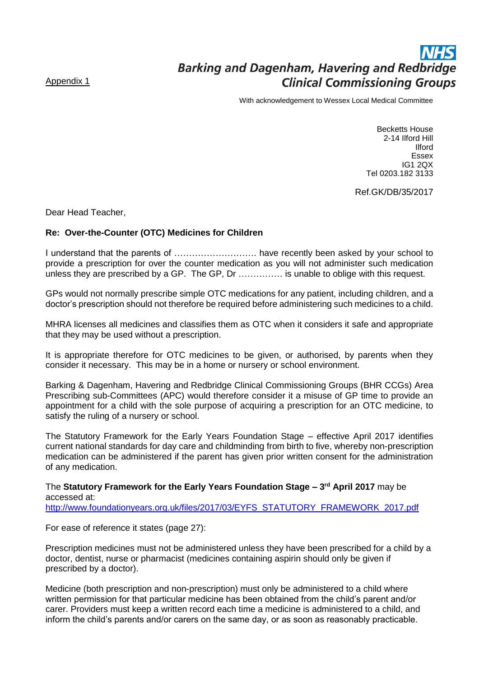#### Appendix 1

# **Barking and Dagenham, Havering and Redbridge Clinical Commissioning Groups**

With acknowledgement to Wessex Local Medical Committee

Becketts House 2-14 Ilford Hill Ilford Essex IG1 2QX Tel 0203.182 3133

Ref.GK/DB/35/2017

Dear Head Teacher,

#### **Re: Over-the-Counter (OTC) Medicines for Children**

I understand that the parents of ………………………. have recently been asked by your school to provide a prescription for over the counter medication as you will not administer such medication unless they are prescribed by a GP. The GP, Dr …………… is unable to oblige with this request.

GPs would not normally prescribe simple OTC medications for any patient, including children, and a doctor's prescription should not therefore be required before administering such medicines to a child.

MHRA licenses all medicines and classifies them as OTC when it considers it safe and appropriate that they may be used without a prescription.

It is appropriate therefore for OTC medicines to be given, or authorised, by parents when they consider it necessary. This may be in a home or nursery or school environment.

Barking & Dagenham, Havering and Redbridge Clinical Commissioning Groups (BHR CCGs) Area Prescribing sub-Committees (APC) would therefore consider it a misuse of GP time to provide an appointment for a child with the sole purpose of acquiring a prescription for an OTC medicine, to satisfy the ruling of a nursery or school.

The Statutory Framework for the Early Years Foundation Stage – effective April 2017 identifies current national standards for day care and childminding from birth to five, whereby non-prescription medication can be administered if the parent has given prior written consent for the administration of any medication.

The **Statutory Framework for the Early Years Foundation Stage – 3 rd April 2017** may be accessed at: [http://www.foundationyears.org.uk/files/2017/03/EYFS\\_STATUTORY\\_FRAMEWORK\\_2017.pdf](http://www.foundationyears.org.uk/files/2017/03/EYFS_STATUTORY_FRAMEWORK_2017.pdf)

For ease of reference it states (page 27):

Prescription medicines must not be administered unless they have been prescribed for a child by a doctor, dentist, nurse or pharmacist (medicines containing aspirin should only be given if prescribed by a doctor).

Medicine (both prescription and non-prescription) must only be administered to a child where written permission for that particular medicine has been obtained from the child's parent and/or carer. Providers must keep a written record each time a medicine is administered to a child, and inform the child's parents and/or carers on the same day, or as soon as reasonably practicable.